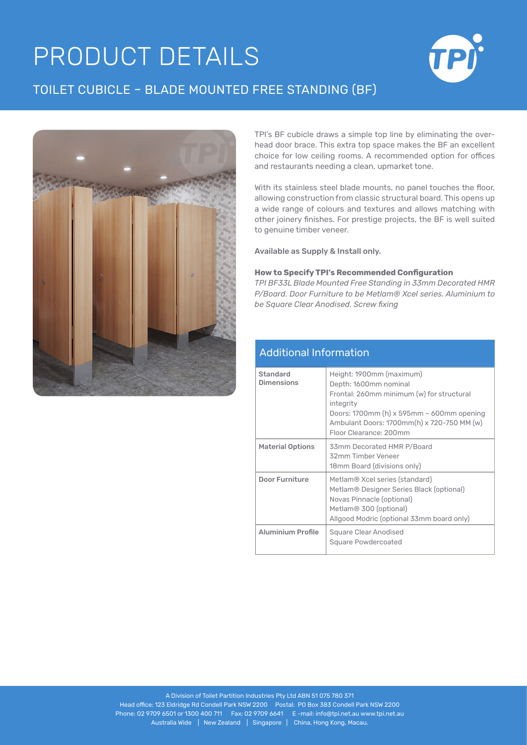## **PRODUCT DETAILS**

## TOILET CUBICLE – BLADE MOUNTED FREE STANDING (BF)





TPI's BF cubicle draws a simple top line by eliminating the overhead door brace. This extra top space makes the BF an excellent choice for low ceiling rooms. A recommended option for offices and restaurants needing a clean, upmarket tone.

With its stainless steel blade mounts, no panel touches the floor, allowing construction from classic structural board. This opens up a wide range of colours and textures and allows matching with other joinery finishes. For prestige projects, the BF is well suited to genuine timber veneer.

Available as Supply & Install only.

## **How to Specify TPI's Recommended Configuration**

*TPI BF33L Blade Mounted Free Standing in 33mm Decorated HMR P/Board. Door Furniture to be Metlam® Xcel series. Aluminium to be Square Clear Anodised. Screw fixing*

## Additional Information

| Standard<br><b>Dimensions</b> | Height: 1900mm (maximum)<br>Depth: 1600mm nominal<br>Frontal: 260mm minimum (w) for structural<br>integrity<br>Doors: 1700mm $(h)$ x 595mm - 600mm opening<br>Ambulant Doors: 1700mm(h) x 720-750 MM (w)<br>Floor Clearance: 200mm |
|-------------------------------|------------------------------------------------------------------------------------------------------------------------------------------------------------------------------------------------------------------------------------|
| <b>Material Options</b>       | 33mm Decorated HMR P/Board<br>32mm Timber Veneer<br>18mm Board (divisions only)                                                                                                                                                    |
| <b>Door Furniture</b>         | Metlam® Xcel series (standard)<br>Metlam® Designer Series Black (optional)<br>Novas Pinnacle (optional)<br>Metlam® 300 (optional)<br>Allgood Modric (optional 33mm board only)                                                     |
| <b>Aluminium Profile</b>      | Square Clear Anodised<br>Square Powdercoated                                                                                                                                                                                       |